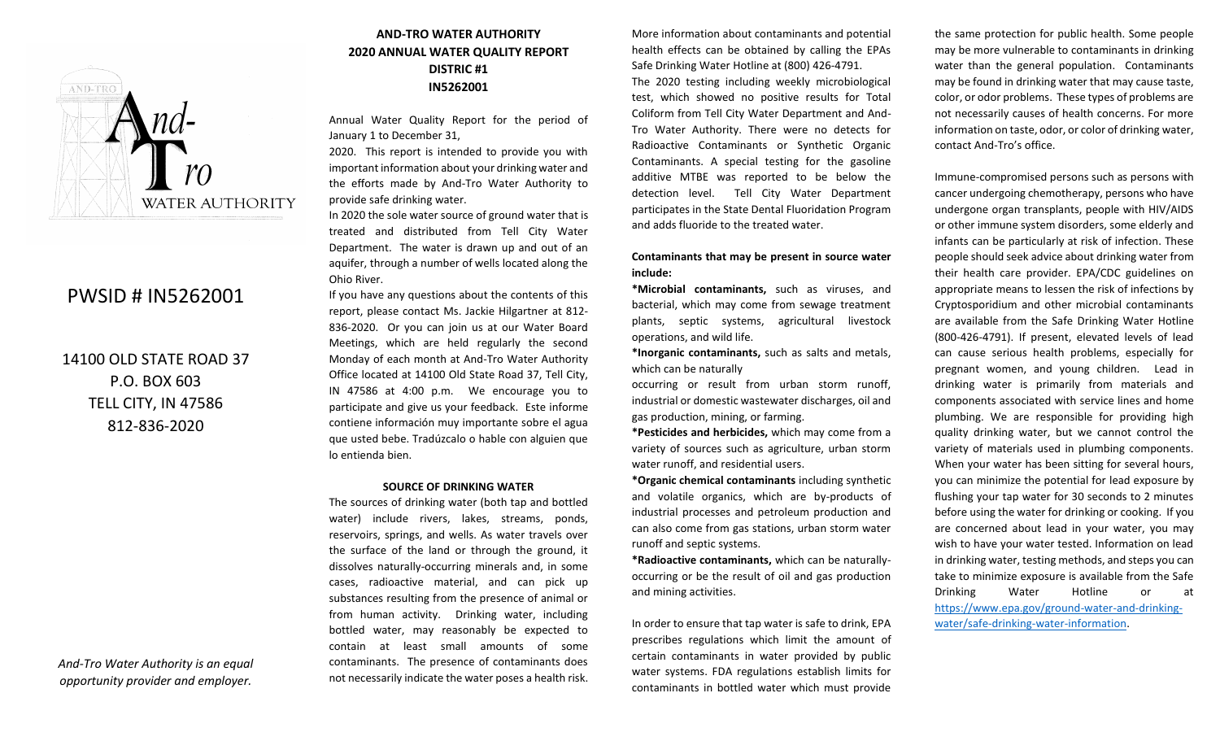

# PWSID # IN5262001

14100 OLD STATE ROAD 37 P.O. BOX 603 TELL CITY, IN 47586 812-836-2020

*And-Tro Water Authority is an equal opportunity provider and employer.*

## **AND-TRO WATER AUTHORITY 2020 ANNUAL WATER QUALITY REPORT DISTRIC #1 IN5262001**

Annual Water Quality Report for the period of January 1 to December 31,

2020. This report is intended to provide you with important information about your drinking water and the efforts made by And-Tro Water Authority to provide safe drinking water.

In 2020 the sole water source of ground water that is treated and distributed from Tell City Water Department. The water is drawn up and out of an aquifer, through a number of wells located along the Ohio River.

If you have any questions about the contents of this report, please contact Ms. Jackie Hilgartner at 812- 836-2020. Or you can join us at our Water Board Meetings, which are held regularly the second Monday of each month at And-Tro Water Authority Office located at 14100 Old State Road 37, Tell City, IN 47586 at 4:00 p.m. We encourage you to participate and give us your feedback. Este informe contiene información muy importante sobre el agua que usted bebe. Tradúzcalo o hable con alguien que lo entienda bien.

#### **SOURCE OF DRINKING WATER**

The sources of drinking water (both tap and bottled water) include rivers, lakes, streams, ponds, reservoirs, springs, and wells. As water travels over the surface of the land or through the ground, it dissolves naturally-occurring minerals and, in some cases, radioactive material, and can pick up substances resulting from the presence of animal or from human activity. Drinking water, including bottled water, may reasonably be expected to contain at least small amounts of some contaminants. The presence of contaminants does not necessarily indicate the water poses a health risk.

More information about contaminants and potential health effects can be obtained by calling the EPAs Safe Drinking Water Hotline at (800) 426-4791. The 2020 testing including weekly microbiological test, which showed no positive results for Total Coliform from Tell City Water Department and And-Tro Water Authority. There were no detects for Radioactive Contaminants or Synthetic Organic

Contaminants. A special testing for the gasoline additive MTBE was reported to be below the detection level. Tell City Water Department participates in the State Dental Fluoridation Program and adds fluoride to the treated water.

#### **Contaminants that may be present in source water include:**

**\*Microbial contaminants,** such as viruses, and bacterial, which may come from sewage treatment plants, septic systems, agricultural livestock operations, and wild life.

**\*Inorganic contaminants,** such as salts and metals, which can be naturally

occurring or result from urban storm runoff, industrial or domestic wastewater discharges, oil and gas production, mining, or farming.

**\*Pesticides and herbicides,** which may come from a variety of sources such as agriculture, urban storm water runoff, and residential users.

**\*Organic chemical contaminants** including synthetic and volatile organics, which are by-products of industrial processes and petroleum production and can also come from gas stations, urban storm water runoff and septic systems.

**\*Radioactive contaminants,** which can be naturallyoccurring or be the result of oil and gas production and mining activities.

In order to ensure that tap water is safe to drink, EPA prescribes regulations which limit the amount of certain contaminants in water provided by public water systems. FDA regulations establish limits for contaminants in bottled water which must provide the same protection for public health. Some people may be more vulnerable to contaminants in drinking water than the general population. Contaminants may be found in drinking water that may cause taste, color, or odor problems. These types of problems are not necessarily causes of health concerns. For more information on taste, odor, or color of drinking water, contact And-Tro's office.

Immune-compromised persons such as persons with cancer undergoing chemotherapy, persons who have undergone organ transplants, people with HIV/AIDS or other immune system disorders, some elderly and infants can be particularly at risk of infection. These people should seek advice about drinking water from their health care provider. EPA/CDC guidelines on appropriate means to lessen the risk of infections by Cryptosporidium and other microbial contaminants are available from the Safe Drinking Water Hotline (800-426-4791). If present, elevated levels of lead can cause serious health problems, especially for pregnant women, and young children. Lead in drinking water is primarily from materials and components associated with service lines and home plumbing. We are responsible for providing high quality drinking water, but we cannot control the variety of materials used in plumbing components. When your water has been sitting for several hours, you can minimize the potential for lead exposure by flushing your tap water for 30 seconds to 2 minutes before using the water for drinking or cooking. If you are concerned about lead in your water, you may wish to have your water tested. Information on lead in drinking water, testing methods, and steps you can take to minimize exposure is available from the Safe Drinking Water Hotline or at [https://www.epa.gov/ground-water-and-drinking](https://www.epa.gov/ground-water-and-drinking-water/safe-drinking-water-information)[water/safe-drinking-water-information.](https://www.epa.gov/ground-water-and-drinking-water/safe-drinking-water-information)